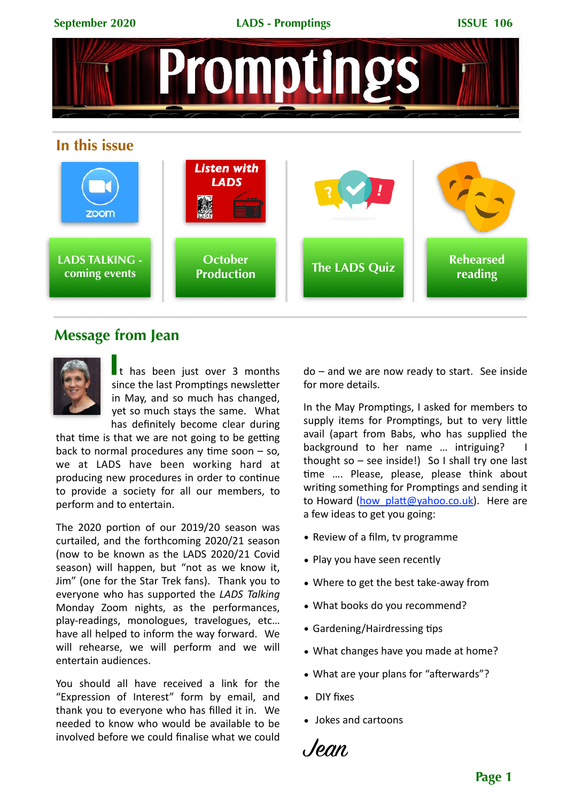

### **Message from Jean**



It has been just over 3 months since the last Promptings newsletter in May, and so much has changed. yet so much stays the same. What has definitely become clear during

that time is that we are not going to be getting back to normal procedures any time soon  $-$  so, we at LADS have been working hard at producing new procedures in order to continue to provide a society for all our members, to perform and to entertain.

The  $2020$  portion of our  $2019/20$  season was curtailed, and the forthcoming 2020/21 season (now to be known as the LADS 2020/21 Covid season) will happen, but "not as we know it, Jim" (one for the Star Trek fans). Thank you to everyone who has supported the *LADS Talking* Monday Zoom nights, as the performances, play-readings, monologues, travelogues, etc... have all helped to inform the way forward. We will rehearse, we will perform and we will entertain audiences.

You should all have received a link for the "Expression of Interest" form by email, and thank you to everyone who has filled it in. We needed to know who would be available to be involved before we could finalise what we could

 $do$  – and we are now ready to start. See inside for more details.

In the May Promptings, I asked for members to supply items for Promptings, but to very little avail (apart from Babs, who has supplied the background to her name ... intriguing? thought so  $-$  see inside!) So I shall try one last time .... Please, please, please think about writing something for Promptings and sending it to Howard (how platt@yahoo.co.uk). Here are a few ideas to get you going:

- Review of a film, ty programme
- Play you have seen recently
- Where to get the best take-away from
- What books do you recommend?
- Gardening/Hairdressing tips
- What changes have you made at home?
- What are your plans for "afterwards"?
- DIY fixes
- Jokes and cartoons

Jean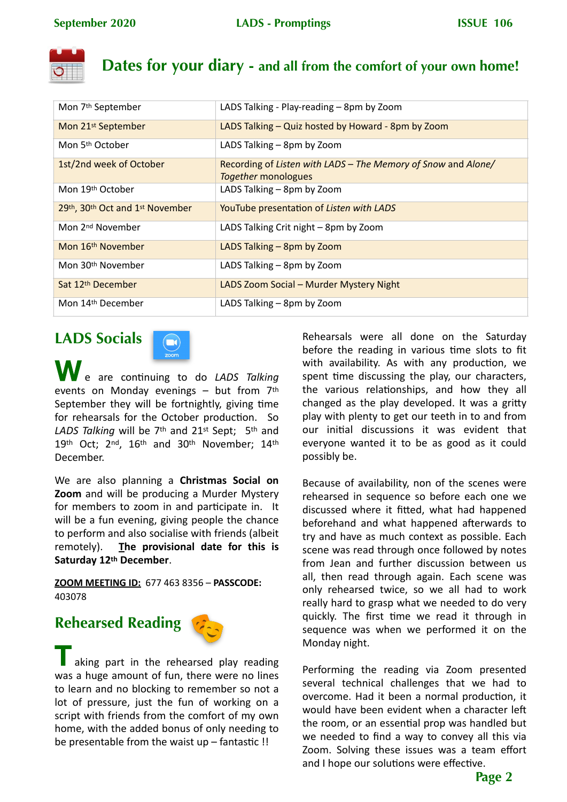

## **Dates for your diary - and all from the comfort of your own home!**

| Mon 7 <sup>th</sup> September   | LADS Talking - Play-reading - 8pm by Zoom                                                   |
|---------------------------------|---------------------------------------------------------------------------------------------|
| Mon 21 <sup>st</sup> September  | LADS Talking - Quiz hosted by Howard - 8pm by Zoom                                          |
| Mon 5 <sup>th</sup> October     | LADS Talking - 8pm by Zoom                                                                  |
| 1st/2nd week of October         | Recording of Listen with LADS - The Memory of Snow and Alone/<br><i>Together</i> monologues |
| Mon 19th October                | LADS Talking - 8pm by Zoom                                                                  |
| 29th, 30th Oct and 1st November | YouTube presentation of Listen with LADS                                                    |
| Mon 2 <sup>nd</sup> November    | LADS Talking Crit night - 8pm by Zoom                                                       |
| Mon 16 <sup>th</sup> November   | LADS Talking - 8pm by Zoom                                                                  |
| Mon 30 <sup>th</sup> November   | LADS Talking - 8pm by Zoom                                                                  |
| Sat 12 <sup>th</sup> December   | LADS Zoom Social - Murder Mystery Night                                                     |
| Mon 14 <sup>th</sup> December   | LADS Talking - 8pm by Zoom                                                                  |

# **LADS Socials**



 $\sqrt{e}$  are continuing to do *LADS Talking* events on Monday evenings  $-$  but from  $7<sup>th</sup>$ September they will be fortnightly, giving time for rehearsals for the October production. So LADS Talking will be 7<sup>th</sup> and 21<sup>st</sup> Sept; 5<sup>th</sup> and 19th Oct; 2nd, 16th and 30th November; 14th December. 

We are also planning a **Christmas Social on Zoom** and will be producing a Murder Mystery for members to zoom in and participate in. It will be a fun evening, giving people the chance to perform and also socialise with friends (albeit remotely). The provisional date for this is Saturday 12<sup>th</sup> December.

**ZOOM MEETING ID:** 677 463 8356 - **PASSCODE:** 403078 

# **Rehearsed Reading**



aking part in the rehearsed play reading was a huge amount of fun, there were no lines to learn and no blocking to remember so not a lot of pressure, just the fun of working on a script with friends from the comfort of my own home, with the added bonus of only needing to be presentable from the waist  $up$  – fantastic !!

Rehearsals were all done on the Saturday before the reading in various time slots to fit with availability. As with any production, we spent time discussing the play, our characters, the various relationships, and how they all changed as the play developed. It was a gritty play with plenty to get our teeth in to and from our initial discussions it was evident that everyone wanted it to be as good as it could possibly be.

Because of availability, non of the scenes were rehearsed in sequence so before each one we discussed where it fitted, what had happened beforehand and what happened afterwards to try and have as much context as possible. Each scene was read through once followed by notes from Jean and further discussion between us all, then read through again. Each scene was only rehearsed twice, so we all had to work really hard to grasp what we needed to do very quickly. The first time we read it through in sequence was when we performed it on the Monday night.

Performing the reading via Zoom presented several technical challenges that we had to overcome. Had it been a normal production, it would have been evident when a character left the room, or an essential prop was handled but we needed to find a way to convey all this via Zoom. Solving these issues was a team effort and I hope our solutions were effective.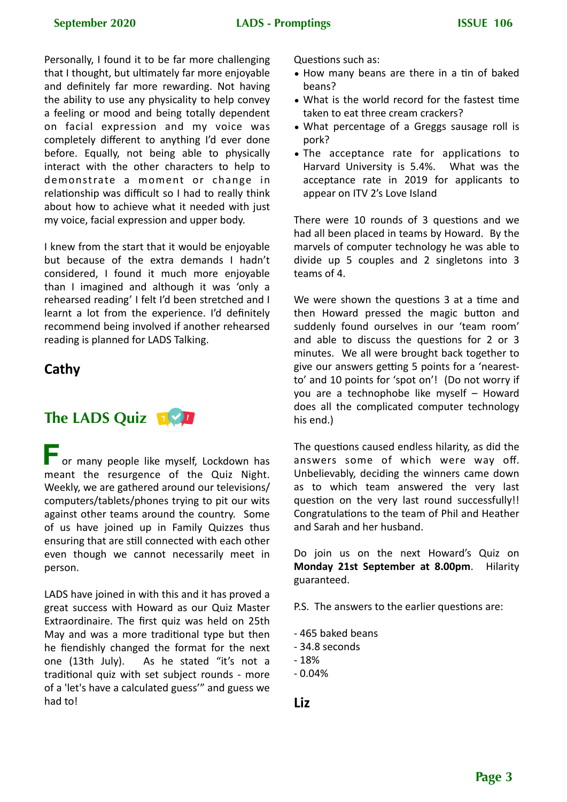Personally, I found it to be far more challenging that I thought, but ultimately far more enjoyable and definitely far more rewarding. Not having the ability to use any physicality to help convey a feeling or mood and being totally dependent on facial expression and my voice was completely different to anything I'd ever done before. Equally, not being able to physically interact with the other characters to help to demonstrate a moment or change in relationship was difficult so I had to really think about how to achieve what it needed with just my voice, facial expression and upper body.

I knew from the start that it would be enjoyable but because of the extra demands I hadn't considered, I found it much more enjoyable than I imagined and although it was 'only a rehearsed reading' I felt I'd been stretched and I learnt a lot from the experience. I'd definitely recommend being involved if another rehearsed reading is planned for LADS Talking.

#### **Cathy**

# **The LADS Quiz**

**For many people like myself, Lockdown has** meant the resurgence of the Quiz Night. Weekly, we are gathered around our televisions/ computers/tablets/phones trying to pit our wits against other teams around the country. Some of us have joined up in Family Quizzes thus ensuring that are still connected with each other even though we cannot necessarily meet in person. 

LADS have joined in with this and it has proved a great success with Howard as our Quiz Master Extraordinaire. The first quiz was held on 25th May and was a more traditional type but then he fiendishly changed the format for the next one (13th July). As he stated "it's not a traditional quiz with set subject rounds - more of a 'let's have a calculated guess'" and guess we had to!

Questions such as:

- How many beans are there in a tin of baked beans?
- What is the world record for the fastest time taken to eat three cream crackers?
- What percentage of a Greggs sausage roll is pork?
- The acceptance rate for applications to Harvard University is 5.4%. What was the acceptance rate in 2019 for applicants to appear on ITV 2's Love Island

There were  $10$  rounds of 3 questions and we had all been placed in teams by Howard. By the marvels of computer technology he was able to divide up 5 couples and 2 singletons into 3 teams of 4.

We were shown the questions 3 at a time and then Howard pressed the magic button and suddenly found ourselves in our 'team room' and able to discuss the questions for 2 or 3 minutes. We all were brought back together to give our answers getting 5 points for a 'nearestto' and 10 points for 'spot on'! (Do not worry if you are a technophobe like myself  $-$  Howard does all the complicated computer technology his end.)

The questions caused endless hilarity, as did the answers some of which were way off. Unbelievably, deciding the winners came down as to which team answered the very last question on the very last round successfully!! Congratulations to the team of Phil and Heather and Sarah and her husband.

Do join us on the next Howard's Quiz on **Monday 21st September at 8.00pm.** Hilarity guaranteed. 

P.S. The answers to the earlier questions are:

- 465 baked beans
- 34.8 seconds
- $-18%$
- $-0.04%$

**Liz**